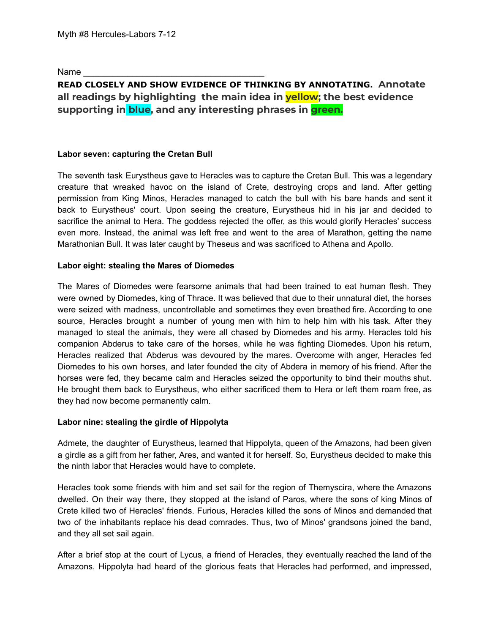Name

# **READ CLOSELY AND SHOW EVIDENCE OF THINKING BY ANNOTATING. Annotate all readings by highlighting the main idea in yellow; the best evidence supporting in blue, and any interesting phrases in green.**

## **Labor seven: capturing the [Cretan Bull](https://www.greekmythology.com/Myths/Creatures/Cretan_Bull/cretan_bull.html)**

The seventh task [Eurystheus](https://www.greekmythology.com/Myths/Mortals/Eurystheus/eurystheus.html) gave to [Heracles](https://www.greekmythology.com/Myths/Heroes/Heracles/heracles.html) was to capture the [Cretan](https://www.greekmythology.com/Myths/Creatures/Cretan_Bull/cretan_bull.html) Bull. This was a legendary creature that wreaked havoc on the island of [Crete](https://www.greekmythology.com/Myths/Places/Crete/crete.html), destroying crops and land. After getting permission from King [Minos](https://www.greekmythology.com/Myths/Figures/Minos/minos.html), [Heracles](https://www.greekmythology.com/Myths/Heroes/Heracles/heracles.html) managed to catch the bull with his bare hands and sent it back to [Eurystheus](https://www.greekmythology.com/Myths/Mortals/Eurystheus/eurystheus.html)' court. Upon seeing the creature, [Eurystheus](https://www.greekmythology.com/Myths/Mortals/Eurystheus/eurystheus.html) hid in his jar and decided to sacrifice the animal to [Hera](https://www.greekmythology.com/Olympians/Hera/hera.html). The goddess rejected the offer, as this would glorify [Heracles](https://www.greekmythology.com/Myths/Heroes/Heracles/heracles.html)' success even more. Instead, the animal was left free and went to the area of Marathon, getting the name Marathonian Bull. It was later caught by [Theseus](https://www.greekmythology.com/Myths/Heroes/Theseus/theseus.html) and was sacrificed to [Athena](https://www.greekmythology.com/Olympians/Athena/athena.html) and [Apollo.](https://www.greekmythology.com/Olympians/Apollo/apollo.html)

#### **Labor eight: stealing the [Mares of Diomedes](https://www.greekmythology.com/Myths/Monsters/Mares_of_Diomedes/mares_of_diomedes.html)**

The Mares of [Diomedes](https://www.greekmythology.com/Myths/Monsters/Mares_of_Diomedes/mares_of_diomedes.html) were fearsome animals that had been trained to eat human flesh. They were owned by Diomedes, king of Thrace. It was believed that due to their unnatural diet, the horses were seized with madness, uncontrollable and sometimes they even breathed fire. According to one source, [Heracles](https://www.greekmythology.com/Myths/Heroes/Heracles/heracles.html) brought a number of young men with him to help him with his task. After they managed to steal the animals, they were all chased by Diomedes and his army. [Heracles](https://www.greekmythology.com/Myths/Heroes/Heracles/heracles.html) told his companion [Abderus](https://www.greekmythology.com/Myths/Figures/Abderus/abderus.html) to take care of the horses, while he was fighting Diomedes. Upon his return, [Heracles](https://www.greekmythology.com/Myths/Heroes/Heracles/heracles.html) realized that [Abderus](https://www.greekmythology.com/Myths/Figures/Abderus/abderus.html) was devoured by the mares. Overcome with anger, [Heracles](https://www.greekmythology.com/Myths/Heroes/Heracles/heracles.html) fed Diomedes to his own horses, and later founded the city of Abdera in memory of his friend. After the horses were fed, they became calm and [Heracles](https://www.greekmythology.com/Myths/Heroes/Heracles/heracles.html) seized the opportunity to bind their mouths shut. He brought them back to [Eurystheus](https://www.greekmythology.com/Myths/Mortals/Eurystheus/eurystheus.html), who either sacrificed them to [Hera](https://www.greekmythology.com/Olympians/Hera/hera.html) or left them roam free, as they had now become permanently calm.

#### **Labor nine: stealing the girdle of [Hippolyta](https://www.greekmythology.com/Myths/Mortals/Hippolyta/hippolyta.html)**

Admete, the daughter of [Eurystheus](https://www.greekmythology.com/Myths/Mortals/Eurystheus/eurystheus.html), learned that [Hippolyta](https://www.greekmythology.com/Myths/Mortals/Hippolyta/hippolyta.html), queen of the [Amazons,](https://www.greekmythology.com/Myths/Figures/Amazons/amazons.html) had been given a girdle as a gift from her father, [Ares](https://www.greekmythology.com/Olympians/Aris/aris.html), and wanted it for herself. So, [Eurystheus](https://www.greekmythology.com/Myths/Mortals/Eurystheus/eurystheus.html) decided to make this the ninth labor that [Heracles](https://www.greekmythology.com/Myths/Heroes/Heracles/heracles.html) would have to complete.

[Heracles](https://www.greekmythology.com/Myths/Heroes/Heracles/heracles.html) took some friends with him and set sail for the region of Themyscira, where the [Amazons](https://www.greekmythology.com/Myths/Figures/Amazons/amazons.html) dwelled. On their way there, they stopped at the island of Paros, where the sons of king [Minos](https://www.greekmythology.com/Myths/Figures/Minos/minos.html) of [Crete](https://www.greekmythology.com/Myths/Places/Crete/crete.html) killed two of [Heracles](https://www.greekmythology.com/Myths/Heroes/Heracles/heracles.html)' friends. Furious, [Heracles](https://www.greekmythology.com/Myths/Heroes/Heracles/heracles.html) killed the sons of [Minos](https://www.greekmythology.com/Myths/Figures/Minos/minos.html) and demanded that two of the inhabitants replace his dead comrades. Thus, two of [Minos](https://www.greekmythology.com/Myths/Figures/Minos/minos.html)' grandsons joined the band, and they all set sail again.

After a brief stop at the court of Lycus, a friend of [Heracles,](https://www.greekmythology.com/Myths/Heroes/Heracles/heracles.html) they eventually reached the land of the [Amazons.](https://www.greekmythology.com/Myths/Figures/Amazons/amazons.html) [Hippolyta](https://www.greekmythology.com/Myths/Mortals/Hippolyta/hippolyta.html) had heard of the glorious feats that [Heracles](https://www.greekmythology.com/Myths/Heroes/Heracles/heracles.html) had performed, and impressed,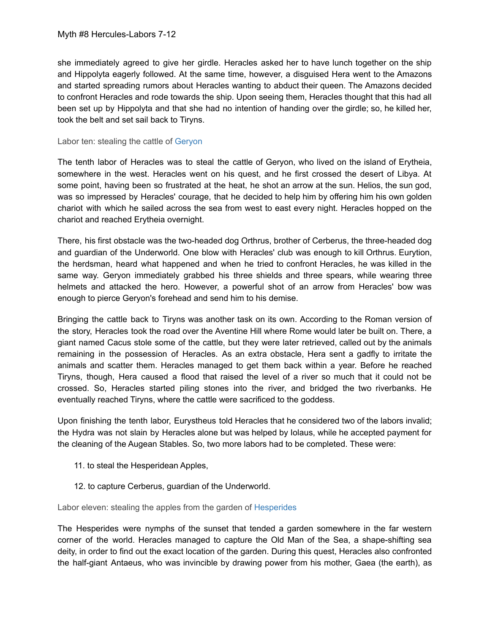she immediately agreed to give her girdle. [Heracles](https://www.greekmythology.com/Myths/Heroes/Heracles/heracles.html) asked her to have lunch together on the ship and [Hippolyta](https://www.greekmythology.com/Myths/Mortals/Hippolyta/hippolyta.html) eagerly followed. At the same time, however, a disguised [Hera](https://www.greekmythology.com/Olympians/Hera/hera.html) went to the [Amazons](https://www.greekmythology.com/Myths/Figures/Amazons/amazons.html) and started spreading rumors about [Heracles](https://www.greekmythology.com/Myths/Heroes/Heracles/heracles.html) wanting to abduct their queen. The [Amazons](https://www.greekmythology.com/Myths/Figures/Amazons/amazons.html) decided to confront [Heracles](https://www.greekmythology.com/Myths/Heroes/Heracles/heracles.html) and rode towards the ship. Upon seeing them, [Heracles](https://www.greekmythology.com/Myths/Heroes/Heracles/heracles.html) thought that this had all been set up by [Hippolyta](https://www.greekmythology.com/Myths/Mortals/Hippolyta/hippolyta.html) and that she had no intention of handing over the girdle; so, he killed her, took the belt and set sail back to Tiryns.

### Labor ten: stealing the cattle of [Geryon](https://www.greekmythology.com/Myths/Creatures/Geryon/geryon.html)

The tenth labor of [Heracles](https://www.greekmythology.com/Myths/Heroes/Heracles/heracles.html) was to steal the cattle of [Geryon,](https://www.greekmythology.com/Myths/Creatures/Geryon/geryon.html) who lived on the island of Erytheia, somewhere in the west. [Heracles](https://www.greekmythology.com/Myths/Heroes/Heracles/heracles.html) went on his quest, and he first crossed the desert of Libya. At some point, having been so frustrated at the heat, he shot an arrow at the [sun.](https://www.greekmythology.com/Myths/Planets/Sun/sun.html) [Helios,](https://www.greekmythology.com/Other_Gods/Helios/helios.html) the [sun](https://www.greekmythology.com/Myths/Planets/Sun/sun.html) god, was so impressed by [Heracles](https://www.greekmythology.com/Myths/Heroes/Heracles/heracles.html)' courage, that he decided to help him by offering him his own golden chariot with which he sailed across the sea from west to east every night. [Heracles](https://www.greekmythology.com/Myths/Heroes/Heracles/heracles.html) hopped on the chariot and reached Erytheia overnight.

There, his first obstacle was the two-headed dog [Orthrus,](https://www.greekmythology.com/Myths/Monsters/Orthrus/orthrus.html) brother of [Cerberus](https://www.greekmythology.com/Myths/Creatures/Cerberus/cerberus.html), the three-headed dog and guardian of the Underworld. One blow with [Heracles](https://www.greekmythology.com/Myths/Heroes/Heracles/heracles.html)' club was enough to kill [Orthrus.](https://www.greekmythology.com/Myths/Monsters/Orthrus/orthrus.html) Eurytion, the herdsman, heard what happened and when he tried to confront [Heracles](https://www.greekmythology.com/Myths/Heroes/Heracles/heracles.html), he was killed in the same way. [Geryon](https://www.greekmythology.com/Myths/Creatures/Geryon/geryon.html) immediately grabbed his three shields and three spears, while wearing three helmets and attacked the [hero](https://www.greekmythology.com/Myths/Mortals/Hero/hero.html). However, a powerful shot of an arrow from [Heracles](https://www.greekmythology.com/Myths/Heroes/Heracles/heracles.html)' bow was enough to pierce [Geryon](https://www.greekmythology.com/Myths/Creatures/Geryon/geryon.html)'s forehead and send him to his demise.

Bringing the cattle back to Tiryns was another task on its own. According to the [Roman](https://www.greekmythology.com/Myths/Roman/roman.html) version of the story, [Heracles](https://www.greekmythology.com/Myths/Heroes/Heracles/heracles.html) took the road over the Aventine Hill where Rome would later be built on. There, a giant named Cacus stole some of the cattle, but they were later retrieved, called out by the animals remaining in the possession of [Heracles](https://www.greekmythology.com/Myths/Heroes/Heracles/heracles.html). As an extra obstacle, [Hera](https://www.greekmythology.com/Olympians/Hera/hera.html) sent a gadfly to irritate the animals and scatter them. [Heracles](https://www.greekmythology.com/Myths/Heroes/Heracles/heracles.html) managed to get them back within a year. Before he reached Tiryns, though, [Hera](https://www.greekmythology.com/Olympians/Hera/hera.html) caused a flood that raised the level of a river so much that it could not be crossed. So, [Heracles](https://www.greekmythology.com/Myths/Heroes/Heracles/heracles.html) started piling stones into the river, and bridged the two riverbanks. He eventually reached Tiryns, where the cattle were sacrificed to the goddess.

Upon finishing the tenth labor, [Eurystheus](https://www.greekmythology.com/Myths/Mortals/Eurystheus/eurystheus.html) told [Heracles](https://www.greekmythology.com/Myths/Heroes/Heracles/heracles.html) that he considered two of the labors invalid; the Hydra was not slain by [Heracles](https://www.greekmythology.com/Myths/Heroes/Heracles/heracles.html) alone but was helped by Iolaus, while he accepted payment for the cleaning of the Augean Stables. So, two more labors had to be completed. These were:

- 11. to steal the Hesperidean Apples,
- 12. to capture [Cerberus,](https://www.greekmythology.com/Myths/Creatures/Cerberus/cerberus.html) guardian of the Underworld.

Labor eleven: stealing the apples from the garden of [Hesperides](https://www.greekmythology.com/Other_Gods/Minor_Gods/Hesperides/hesperides.html)

The [Hesperides](https://www.greekmythology.com/Other_Gods/Minor_Gods/Hesperides/hesperides.html) were nymphs of the sunset that tended a garden somewhere in the far western corner of the world. [Heracles](https://www.greekmythology.com/Myths/Heroes/Heracles/heracles.html) managed to capture the Old [Man](https://www.greekmythology.com/Other_Gods/Primordial/Old_Man_of_the_Sea/old_man_of_the_sea.html) of the Sea, a shape-shifting sea deity, in order to find out the exact location of the garden. During this quest, [Heracles](https://www.greekmythology.com/Myths/Heroes/Heracles/heracles.html) also confronted the half-giant [Antaeus](https://www.greekmythology.com/Myths/Gigantes/Antaeus/antaeus.html), who was invincible by drawing power from his mother, [Gaea](https://www.greekmythology.com/Other_Gods/Gaea/gaea.html) (the earth), as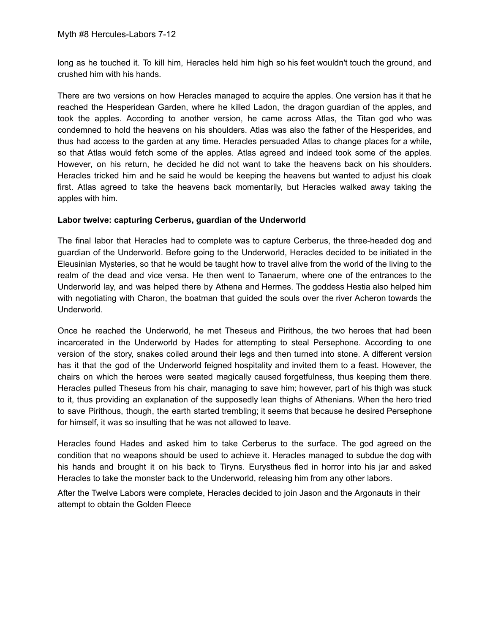long as he touched it. To kill him, [Heracles](https://www.greekmythology.com/Myths/Heroes/Heracles/heracles.html) held him high so his feet wouldn't touch the ground, and crushed him with his hands.

There are two versions on how [Heracles](https://www.greekmythology.com/Myths/Heroes/Heracles/heracles.html) managed to acquire the apples. One version has it that he reached the Hesperidean Garden, where he killed [Ladon](https://www.greekmythology.com/Myths/Monsters/Ladon/ladon.html), the dragon guardian of the apples, and took the apples. According to another version, he came across [Atlas](https://www.greekmythology.com/Titans/Atlas/atlas.html), the Titan god who was condemned to hold the heavens on his shoulders. [Atlas](https://www.greekmythology.com/Titans/Atlas/atlas.html) was also the father of the [Hesperides](https://www.greekmythology.com/Other_Gods/Minor_Gods/Hesperides/hesperides.html), and thus had access to the garden at any time. [Heracles](https://www.greekmythology.com/Myths/Heroes/Heracles/heracles.html) persuaded [Atlas](https://www.greekmythology.com/Titans/Atlas/atlas.html) to change [places](https://www.greekmythology.com/Myths/Places/places.html) for a while, so that [Atlas](https://www.greekmythology.com/Titans/Atlas/atlas.html) would fetch some of the apples. [Atlas](https://www.greekmythology.com/Titans/Atlas/atlas.html) agreed and indeed took some of the apples. However, on his return, he decided he did not want to take the heavens back on his shoulders. [Heracles](https://www.greekmythology.com/Myths/Heroes/Heracles/heracles.html) tricked him and he said he would be keeping the heavens but wanted to adjust his cloak first. [Atlas](https://www.greekmythology.com/Titans/Atlas/atlas.html) agreed to take the heavens back momentarily, but [Heracles](https://www.greekmythology.com/Myths/Heroes/Heracles/heracles.html) walked away taking the apples with him.

## **Labor twelve: capturing [Cerberus](https://www.greekmythology.com/Myths/Creatures/Cerberus/cerberus.html), guardian of the Underworld**

The final labor that [Heracles](https://www.greekmythology.com/Myths/Heroes/Heracles/heracles.html) had to complete was to capture [Cerberus](https://www.greekmythology.com/Myths/Creatures/Cerberus/cerberus.html), the three-headed dog and guardian of the Underworld. Before going to the Underworld, [Heracles](https://www.greekmythology.com/Myths/Heroes/Heracles/heracles.html) decided to be initiated in the Eleusinian Mysteries, so that he would be taught how to travel alive from the world of the living to the realm of the dead and vice versa. He then went to Tanaerum, where one of the entrances to the Underworld lay, and was helped there by [Athena](https://www.greekmythology.com/Olympians/Athena/athena.html) and [Hermes.](https://www.greekmythology.com/Olympians/Hermes/hermes.html) The goddess [Hestia](https://www.greekmythology.com/Olympians/Hestia/hestia.html) also helped him with negotiating with Charon, the boatman that guided the souls over the river Acheron towards the Underworld.

Once he reached the Underworld, he met [Theseus](https://www.greekmythology.com/Myths/Heroes/Theseus/theseus.html) and [Pirithous,](https://www.greekmythology.com/Myths/Mortals/Pirithous/pirithous.html) the two [heroes](https://www.greekmythology.com/Myths/Heroes/heroes.html) that had been incarcerated in the Underworld by [Hades](https://www.greekmythology.com/Olympians/Hades/hades.html) for attempting to steal [Persephone](https://www.greekmythology.com/Other_Gods/Persephone/persephone.html). According to one version of the story, snakes coiled around their legs and then turned into stone. A different version has it that the god of the Underworld feigned hospitality and invited them to a feast. However, the chairs on which the [heroes](https://www.greekmythology.com/Myths/Heroes/heroes.html) were seated magically caused forgetfulness, thus keeping them there. [Heracles](https://www.greekmythology.com/Myths/Heroes/Heracles/heracles.html) pulled [Theseus](https://www.greekmythology.com/Myths/Heroes/Theseus/theseus.html) from his chair, managing to save him; however, part of his thigh was stuck to it, thus providing an explanation of the supposedly lean thighs of Athenians. When the [hero](https://www.greekmythology.com/Myths/Mortals/Hero/hero.html) tried to save [Pirithous](https://www.greekmythology.com/Myths/Mortals/Pirithous/pirithous.html), though, the earth started trembling; it seems that because he desired [Persephone](https://www.greekmythology.com/Other_Gods/Persephone/persephone.html) for himself, it was so insulting that he was not allowed to leave.

[Heracles](https://www.greekmythology.com/Myths/Heroes/Heracles/heracles.html) found [Hades](https://www.greekmythology.com/Olympians/Hades/hades.html) and asked him to take [Cerberus](https://www.greekmythology.com/Myths/Creatures/Cerberus/cerberus.html) to the surface. The god agreed on the condition that no weapons should be used to achieve it. [Heracles](https://www.greekmythology.com/Myths/Heroes/Heracles/heracles.html) managed to subdue the dog with his hands and brought it on his back to Tiryns. [Eurystheus](https://www.greekmythology.com/Myths/Mortals/Eurystheus/eurystheus.html) fled in horror into his jar and asked [Heracles](https://www.greekmythology.com/Myths/Heroes/Heracles/heracles.html) to take the monster back to the Underworld, releasing him from any other labors.

After the Twelve Labors were complete, [Heracles](https://www.greekmythology.com/Myths/Heroes/Heracles/heracles.html) decided to join [Jason](https://www.greekmythology.com/Myths/Heroes/Jason/jason.html) and the [Argonauts](https://www.greekmythology.com/Myths/The_Myths/Argonauts/argonauts.html) in their attempt to obtain the [Golden Fleece](https://www.greekmythology.com/Myths/Elements/Golden_Fleece/golden_fleece.html)